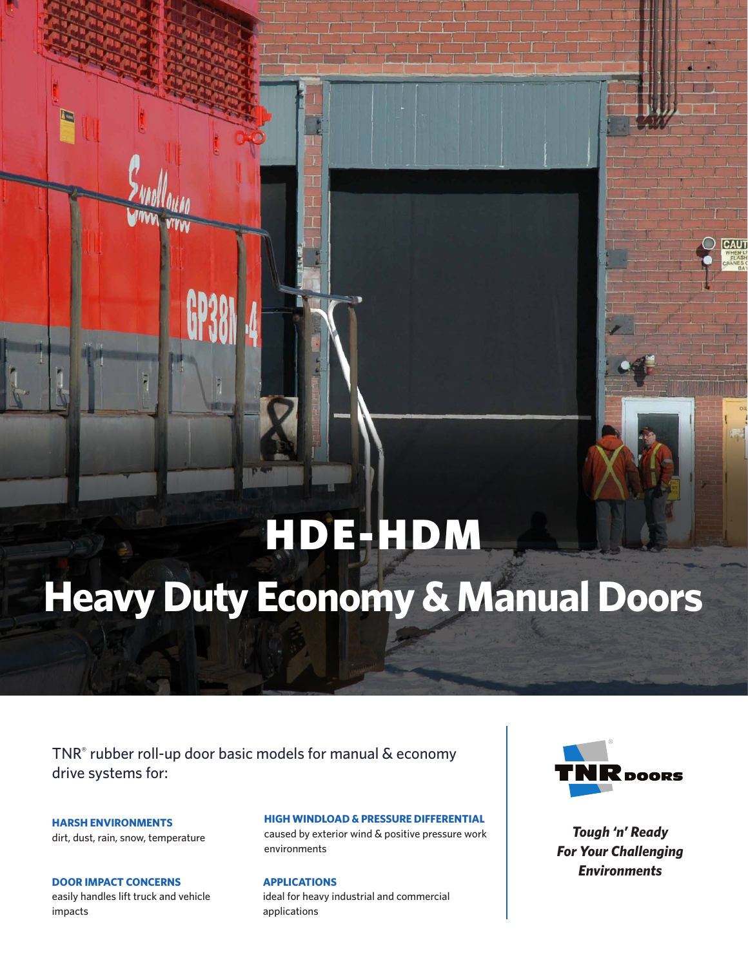# HDE-HDM

# **Heavy Duty Economy & Manual Doors**

TNR® rubber roll-up door basic models for manual & economy drive systems for:

**HARSH ENVIRONMENTS** dirt, dust, rain, snow, temperature

**DOOR IMPACT CONCERNS** easily handles lift truck and vehicle impacts

### **HIGH WINDLOAD & PRESSURE DIFFERENTIAL**

caused by exterior wind & positive pressure work environments

**APPLICATIONS** ideal for heavy industrial and commercial applications



CAU

*Tough 'n' Ready For Your Challenging Environments*